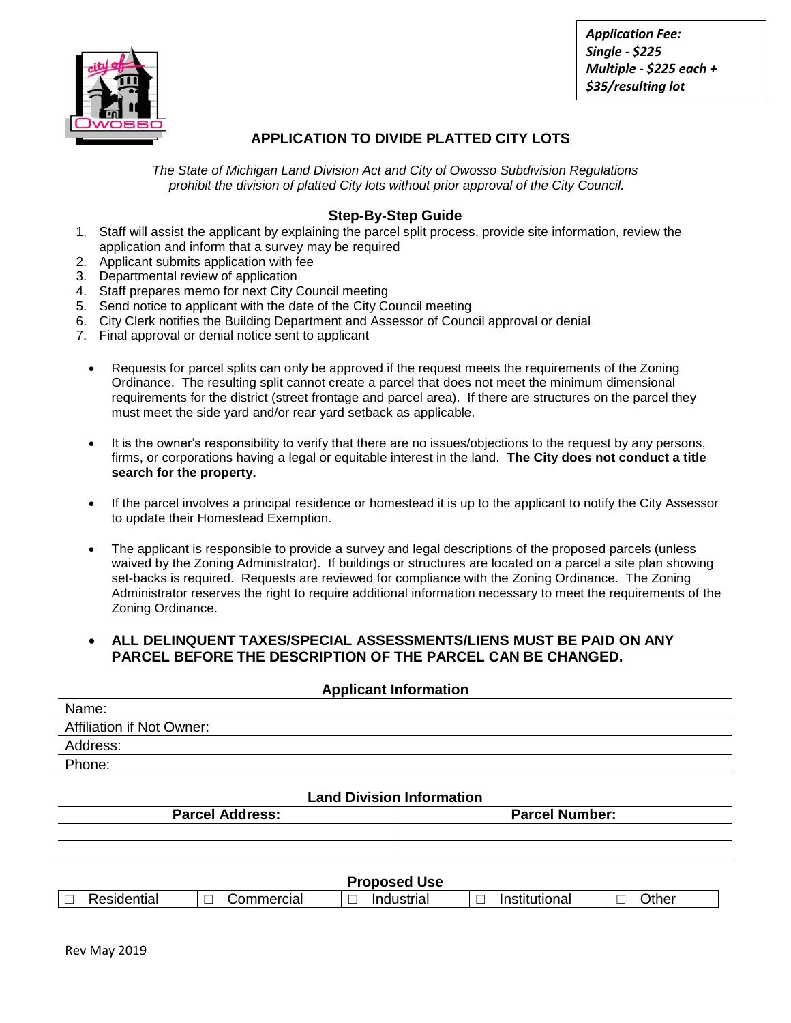

*Application Fee: Single - \$225 Multiple - \$225 each + \$35/resulting lot*

## **APPLICATION TO DIVIDE PLATTED CITY LOTS**

*The State of Michigan Land Division Act and City of Owosso Subdivision Regulations prohibit the division of platted City lots without prior approval of the City Council.*

## **Step-By-Step Guide**

- 1. Staff will assist the applicant by explaining the parcel split process, provide site information, review the application and inform that a survey may be required
- 2. Applicant submits application with fee
- 3. Departmental review of application
- 4. Staff prepares memo for next City Council meeting
- 5. Send notice to applicant with the date of the City Council meeting
- 6. City Clerk notifies the Building Department and Assessor of Council approval or denial
- 7. Final approval or denial notice sent to applicant
	- Requests for parcel splits can only be approved if the request meets the requirements of the Zoning Ordinance. The resulting split cannot create a parcel that does not meet the minimum dimensional requirements for the district (street frontage and parcel area). If there are structures on the parcel they must meet the side yard and/or rear yard setback as applicable.
	- It is the owner's responsibility to verify that there are no issues/objections to the request by any persons, firms, or corporations having a legal or equitable interest in the land. **The City does not conduct a title search for the property.**
	- If the parcel involves a principal residence or homestead it is up to the applicant to notify the City Assessor to update their Homestead Exemption.
	- The applicant is responsible to provide a survey and legal descriptions of the proposed parcels (unless waived by the Zoning Administrator). If buildings or structures are located on a parcel a site plan showing set-backs is required. Requests are reviewed for compliance with the Zoning Ordinance. The Zoning Administrator reserves the right to require additional information necessary to meet the requirements of the Zoning Ordinance.

### **ALL DELINQUENT TAXES/SPECIAL ASSESSMENTS/LIENS MUST BE PAID ON ANY PARCEL BEFORE THE DESCRIPTION OF THE PARCEL CAN BE CHANGED.**

#### **Applicant Information**

| Name:                            |
|----------------------------------|
| <b>Affiliation if Not Owner:</b> |
| Address:                         |
| Phone:                           |
|                                  |

# **Land Division Information**

| <b>Parcel Address:</b> | <b>Parcel Number:</b> |
|------------------------|-----------------------|
|                        |                       |
|                        |                       |
|                        |                       |

| Proposed<br>l Use |           |                           |                                           |              |  |  |
|-------------------|-----------|---------------------------|-------------------------------------------|--------------|--|--|
| ≀esidential       | ommercial | _<br>Industrial<br>$\sim$ | $\overline{\phantom{a}}$<br>Institutional | <b>Other</b> |  |  |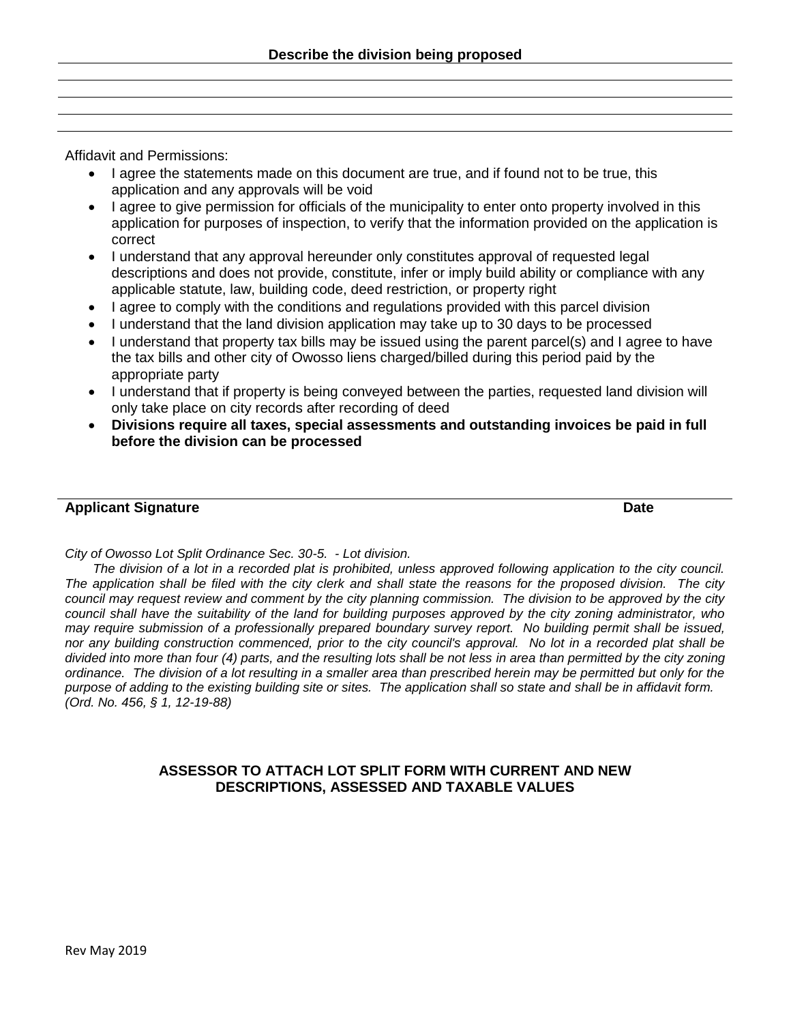Affidavit and Permissions:

- I agree the statements made on this document are true, and if found not to be true, this application and any approvals will be void
- I agree to give permission for officials of the municipality to enter onto property involved in this application for purposes of inspection, to verify that the information provided on the application is correct
- I understand that any approval hereunder only constitutes approval of requested legal descriptions and does not provide, constitute, infer or imply build ability or compliance with any applicable statute, law, building code, deed restriction, or property right
- I agree to comply with the conditions and regulations provided with this parcel division
- I understand that the land division application may take up to 30 days to be processed
- I understand that property tax bills may be issued using the parent parcel(s) and I agree to have the tax bills and other city of Owosso liens charged/billed during this period paid by the appropriate party
- I understand that if property is being conveyed between the parties, requested land division will only take place on city records after recording of deed
- **Divisions require all taxes, special assessments and outstanding invoices be paid in full before the division can be processed**

### **Applicant Signature Date**

*City of Owosso Lot Split Ordinance Sec. 30-5. - Lot division.* 

*The division of a lot in a recorded plat is prohibited, unless approved following application to the city council. The application shall be filed with the city clerk and shall state the reasons for the proposed division. The city council may request review and comment by the city planning commission. The division to be approved by the city council shall have the suitability of the land for building purposes approved by the city zoning administrator, who may require submission of a professionally prepared boundary survey report. No building permit shall be issued, nor any building construction commenced, prior to the city council's approval. No lot in a recorded plat shall be divided into more than four (4) parts, and the resulting lots shall be not less in area than permitted by the city zoning ordinance. The division of a lot resulting in a smaller area than prescribed herein may be permitted but only for the purpose of adding to the existing building site or sites. The application shall so state and shall be in affidavit form. (Ord. No. 456, § 1, 12-19-88)* 

## **ASSESSOR TO ATTACH LOT SPLIT FORM WITH CURRENT AND NEW DESCRIPTIONS, ASSESSED AND TAXABLE VALUES**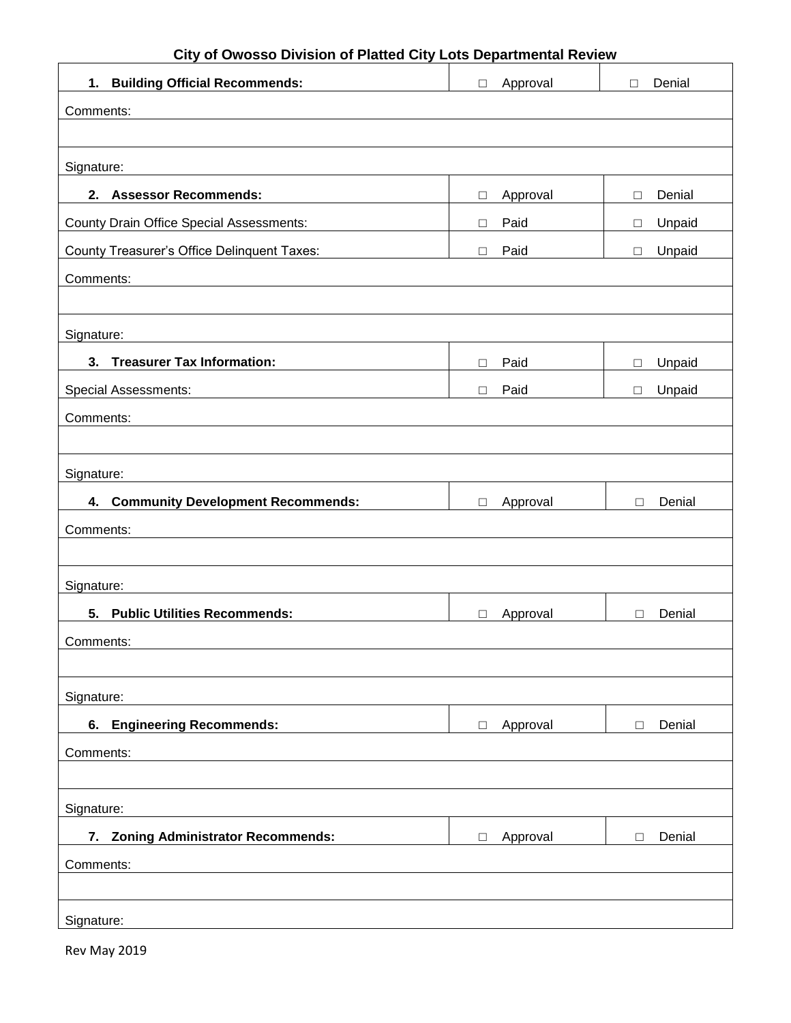| City of Owosso Division of Platted City Lots Departmental Review |                    |                  |  |  |
|------------------------------------------------------------------|--------------------|------------------|--|--|
| 1. Building Official Recommends:                                 | Approval<br>$\Box$ | Denial<br>$\Box$ |  |  |
| Comments:                                                        |                    |                  |  |  |
|                                                                  |                    |                  |  |  |
| Signature:                                                       |                    |                  |  |  |
| 2. Assessor Recommends:                                          | Approval<br>$\Box$ | Denial<br>□      |  |  |
| <b>County Drain Office Special Assessments:</b>                  | Paid<br>$\Box$     | Unpaid<br>$\Box$ |  |  |
| County Treasurer's Office Delinquent Taxes:                      | Paid<br>$\Box$     | Unpaid<br>□      |  |  |
| Comments:                                                        |                    |                  |  |  |
|                                                                  |                    |                  |  |  |
| Signature:                                                       |                    |                  |  |  |
| 3. Treasurer Tax Information:                                    | Paid<br>П          | Unpaid<br>П      |  |  |
| <b>Special Assessments:</b>                                      | Paid<br>$\Box$     | Unpaid<br>$\Box$ |  |  |
| Comments:                                                        |                    |                  |  |  |
|                                                                  |                    |                  |  |  |
| Signature:                                                       |                    |                  |  |  |
| 4. Community Development Recommends:                             | Approval<br>$\Box$ | Denial<br>П      |  |  |
| Comments:                                                        |                    |                  |  |  |
|                                                                  |                    |                  |  |  |
| Signature:                                                       |                    |                  |  |  |
| 5. Public Utilities Recommends:                                  | Approval<br>$\Box$ | Denial<br>□      |  |  |
| Comments:                                                        |                    |                  |  |  |
|                                                                  |                    |                  |  |  |
| Signature:                                                       |                    |                  |  |  |
| <b>Engineering Recommends:</b><br>6.                             | Approval<br>$\Box$ | Denial<br>$\Box$ |  |  |
| Comments:                                                        |                    |                  |  |  |
|                                                                  |                    |                  |  |  |
| Signature:                                                       |                    |                  |  |  |
| 7. Zoning Administrator Recommends:                              | Approval<br>$\Box$ | Denial<br>□      |  |  |
| Comments:                                                        |                    |                  |  |  |
|                                                                  |                    |                  |  |  |
| Signature:                                                       |                    |                  |  |  |

Rev May 2019